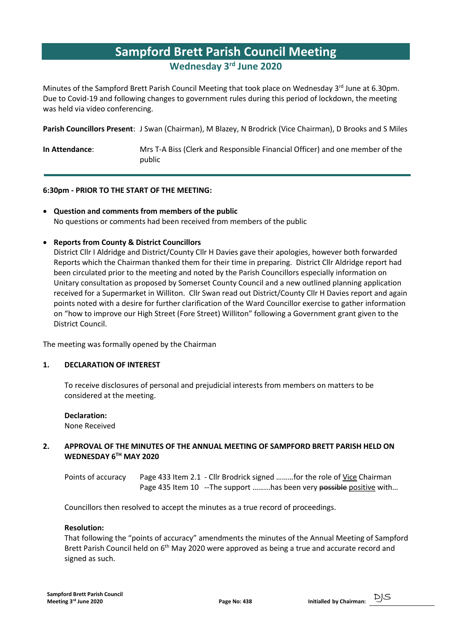## Sampford Brett Parish Council Meeting Wednesday 3rd June 2020

Minutes of the Sampford Brett Parish Council Meeting that took place on Wednesday 3rd June at 6.30pm. Due to Covid-19 and following changes to government rules during this period of lockdown, the meeting was held via video conferencing.

Parish Councillors Present: J Swan (Chairman), M Blazey, N Brodrick (Vice Chairman), D Brooks and S Miles

In Attendance: Mrs T-A Biss (Clerk and Responsible Financial Officer) and one member of the public

### 6:30pm - PRIOR TO THE START OF THE MEETING:

 Question and comments from members of the public No questions or comments had been received from members of the public

### Reports from County & District Councillors

District Cllr I Aldridge and District/County Cllr H Davies gave their apologies, however both forwarded Reports which the Chairman thanked them for their time in preparing. District Cllr Aldridge report had been circulated prior to the meeting and noted by the Parish Councillors especially information on Unitary consultation as proposed by Somerset County Council and a new outlined planning application received for a Supermarket in Williton. Cllr Swan read out District/County Cllr H Davies report and again points noted with a desire for further clarification of the Ward Councillor exercise to gather information on "how to improve our High Street (Fore Street) Williton" following a Government grant given to the District Council.

The meeting was formally opened by the Chairman

### 1. DECLARATION OF INTEREST

 To receive disclosures of personal and prejudicial interests from members on matters to be considered at the meeting.

Declaration: None Received

### 2. APPROVAL OF THE MINUTES OF THE ANNUAL MEETING OF SAMPFORD BRETT PARISH HELD ON WEDNESDAY 6TH MAY 2020

 Points of accuracy Page 433 Item 2.1 - Cllr Brodrick signed ………for the role of Vice Chairman Page 435 Item 10 -- The support ......... has been very possible positive with...

Councillors then resolved to accept the minutes as a true record of proceedings.

### Resolution:

 That following the "points of accuracy" amendments the minutes of the Annual Meeting of Sampford Brett Parish Council held on  $6<sup>th</sup>$  May 2020 were approved as being a true and accurate record and signed as such.

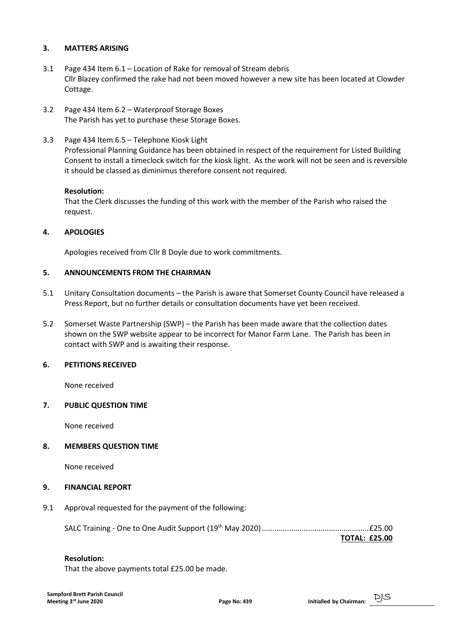### 3. MATTERS ARISING

- 3.1 Page 434 Item 6.1 Location of Rake for removal of Stream debris Cllr Blazey confirmed the rake had not been moved however a new site has been located at Clowder Cottage.
- 3.2 Page 434 Item 6.2 Waterproof Storage Boxes The Parish has yet to purchase these Storage Boxes.
- 3.3 Page 434 Item 6.5 Telephone Kiosk Light

 Professional Planning Guidance has been obtained in respect of the requirement for Listed Building Consent to install a timeclock switch for the kiosk light. As the work will not be seen and is reversible it should be classed as diminimus therefore consent not required.

### Resolution:

 That the Clerk discusses the funding of this work with the member of the Parish who raised the request.

### 4. APOLOGIES

Apologies received from Cllr B Doyle due to work commitments.

### 5. ANNOUNCEMENTS FROM THE CHAIRMAN

- 5.1 Unitary Consultation documents the Parish is aware that Somerset County Council have released a Press Report, but no further details or consultation documents have yet been received.
- 5.2 Somerset Waste Partnership (SWP) the Parish has been made aware that the collection dates shown on the SWP website appear to be incorrect for Manor Farm Lane. The Parish has been in contact with SWP and is awaiting their response.

### 6. PETITIONS RECEIVED

None received

### 7. PUBLIC QUESTION TIME

None received

### 8. MEMBERS QUESTION TIME

None received

### 9. FINANCIAL REPORT

9.1 Approval requested for the payment of the following:

SALC Training - One to One Audit Support (19th May 2020) ................................................... £25.00

TOTAL: £25.00

### Resolution:

That the above payments total £25.00 be made.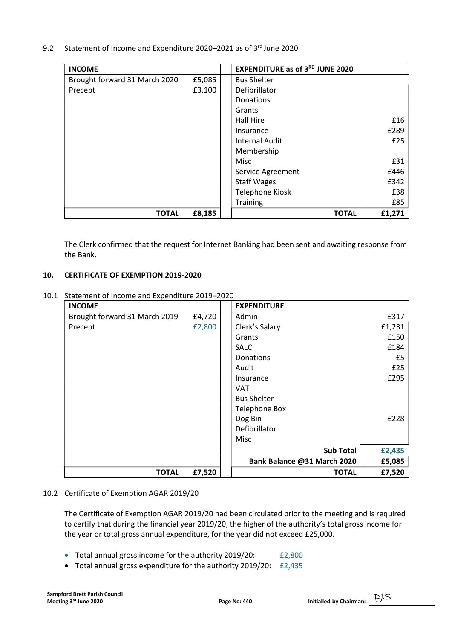9.2 Statement of Income and Expenditure 2020–2021 as of 3<sup>rd</sup> June 2020

| <b>INCOME</b>                 |        | <b>EXPENDITURE as of 3RD JUNE 2020</b> |        |
|-------------------------------|--------|----------------------------------------|--------|
| Brought forward 31 March 2020 | £5,085 | <b>Bus Shelter</b>                     |        |
| Precept                       | £3,100 | Defibrillator                          |        |
|                               |        | Donations                              |        |
|                               |        | Grants                                 |        |
|                               |        | Hall Hire                              | £16    |
|                               |        | Insurance                              | £289   |
|                               |        | <b>Internal Audit</b>                  | £25    |
|                               |        | Membership                             |        |
|                               |        | Misc                                   | £31    |
|                               |        | Service Agreement                      | £446   |
|                               |        | <b>Staff Wages</b>                     | £342   |
|                               |        | Telephone Kiosk                        | £38    |
|                               |        | Training                               | £85    |
| <b>TOTAL</b>                  | £8,185 | <b>TOTAL</b>                           | £1,271 |

 The Clerk confirmed that the request for Internet Banking had been sent and awaiting response from the Bank.

### 10. CERTIFICATE OF EXEMPTION 2019-2020

10.1 Statement of Income and Expenditure 2019–2020

| <b>INCOME</b>                 |        | <b>EXPENDITURE</b>          |        |
|-------------------------------|--------|-----------------------------|--------|
| Brought forward 31 March 2019 | £4,720 | Admin                       | £317   |
| Precept                       | £2,800 | Clerk's Salary              | £1,231 |
|                               |        | Grants                      | £150   |
|                               |        | <b>SALC</b>                 | £184   |
|                               |        | Donations                   | £5     |
|                               |        | Audit                       | £25    |
|                               |        | Insurance                   | £295   |
|                               |        | <b>VAT</b>                  |        |
|                               |        | <b>Bus Shelter</b>          |        |
|                               |        | <b>Telephone Box</b>        |        |
|                               |        | Dog Bin                     | £228   |
|                               |        | Defibrillator               |        |
|                               |        | Misc                        |        |
|                               |        | <b>Sub Total</b>            | £2,435 |
|                               |        | Bank Balance @31 March 2020 | £5,085 |
| <b>TOTAL</b>                  | £7,520 | <b>TOTAL</b>                | £7,520 |

### 10.2 Certificate of Exemption AGAR 2019/20

 The Certificate of Exemption AGAR 2019/20 had been circulated prior to the meeting and is required to certify that during the financial year 2019/20, the higher of the authority's total gross income for the year or total gross annual expenditure, for the year did not exceed £25,000.

- Total annual gross income for the authority 2019/20: £2,800
- Total annual gross expenditure for the authority 2019/20: £2,435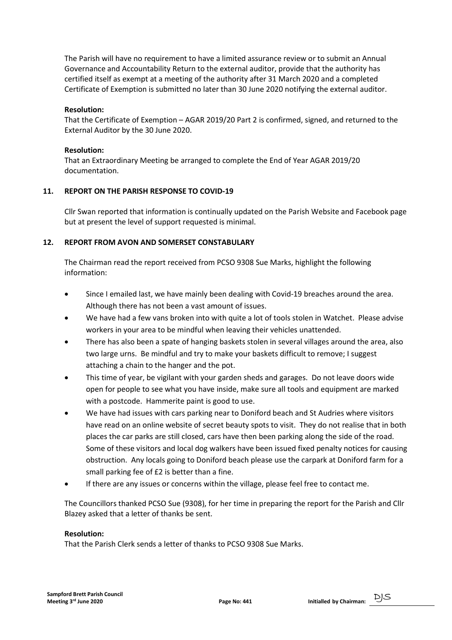The Parish will have no requirement to have a limited assurance review or to submit an Annual Governance and Accountability Return to the external auditor, provide that the authority has certified itself as exempt at a meeting of the authority after 31 March 2020 and a completed Certificate of Exemption is submitted no later than 30 June 2020 notifying the external auditor.

### Resolution:

 That the Certificate of Exemption – AGAR 2019/20 Part 2 is confirmed, signed, and returned to the External Auditor by the 30 June 2020.

### Resolution:

 That an Extraordinary Meeting be arranged to complete the End of Year AGAR 2019/20 documentation.

### 11. REPORT ON THE PARISH RESPONSE TO COVID-19

Cllr Swan reported that information is continually updated on the Parish Website and Facebook page but at present the level of support requested is minimal.

### 12. REPORT FROM AVON AND SOMERSET CONSTABULARY

 The Chairman read the report received from PCSO 9308 Sue Marks, highlight the following information:

- Since I emailed last, we have mainly been dealing with Covid-19 breaches around the area. Although there has not been a vast amount of issues.
- We have had a few vans broken into with quite a lot of tools stolen in Watchet. Please advise workers in your area to be mindful when leaving their vehicles unattended.
- There has also been a spate of hanging baskets stolen in several villages around the area, also two large urns. Be mindful and try to make your baskets difficult to remove; I suggest attaching a chain to the hanger and the pot.
- This time of year, be vigilant with your garden sheds and garages. Do not leave doors wide open for people to see what you have inside, make sure all tools and equipment are marked with a postcode. Hammerite paint is good to use.
- We have had issues with cars parking near to Doniford beach and St Audries where visitors have read on an online website of secret beauty spots to visit. They do not realise that in both places the car parks are still closed, cars have then been parking along the side of the road. Some of these visitors and local dog walkers have been issued fixed penalty notices for causing obstruction. Any locals going to Doniford beach please use the carpark at Doniford farm for a small parking fee of £2 is better than a fine.
- If there are any issues or concerns within the village, please feel free to contact me.

 The Councillors thanked PCSO Sue (9308), for her time in preparing the report for the Parish and Cllr Blazey asked that a letter of thanks be sent.

### Resolution:

That the Parish Clerk sends a letter of thanks to PCSO 9308 Sue Marks.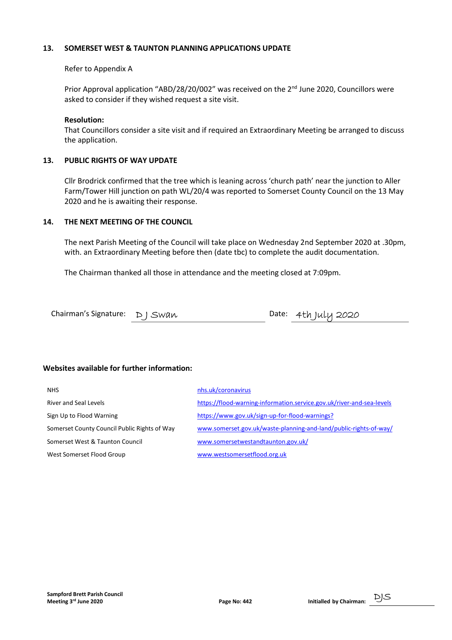### 13. SOMERSET WEST & TAUNTON PLANNING APPLICATIONS UPDATE

### Refer to Appendix A

Prior Approval application "ABD/28/20/002" was received on the 2<sup>nd</sup> June 2020, Councillors were asked to consider if they wished request a site visit.

### Resolution:

 That Councillors consider a site visit and if required an Extraordinary Meeting be arranged to discuss the application.

### 13. PUBLIC RIGHTS OF WAY UPDATE

 Cllr Brodrick confirmed that the tree which is leaning across 'church path' near the junction to Aller Farm/Tower Hill junction on path WL/20/4 was reported to Somerset County Council on the 13 May 2020 and he is awaiting their response.

### 14. THE NEXT MEETING OF THE COUNCIL

 The next Parish Meeting of the Council will take place on Wednesday 2nd September 2020 at .30pm, with. an Extraordinary Meeting before then (date tbc) to complete the audit documentation.

The Chairman thanked all those in attendance and the meeting closed at 7:09pm.

| Chairman's Signature: $D$ J Swan |  | Date: 4th July 2020 |
|----------------------------------|--|---------------------|
|                                  |  |                     |

### Websites available for further information:

| <b>NHS</b>                                   | nhs.uk/coronavirus                                                    |
|----------------------------------------------|-----------------------------------------------------------------------|
| <b>River and Seal Levels</b>                 | https://flood-warning-information.service.gov.uk/river-and-sea-levels |
| Sign Up to Flood Warning                     | https://www.gov.uk/sign-up-for-flood-warnings?                        |
| Somerset County Council Public Rights of Way | www.somerset.gov.uk/waste-planning-and-land/public-rights-of-way/     |
| Somerset West & Taunton Council              | www.somersetwestandtaunton.gov.uk/                                    |
| West Somerset Flood Group                    | www.westsomersetflood.org.uk                                          |